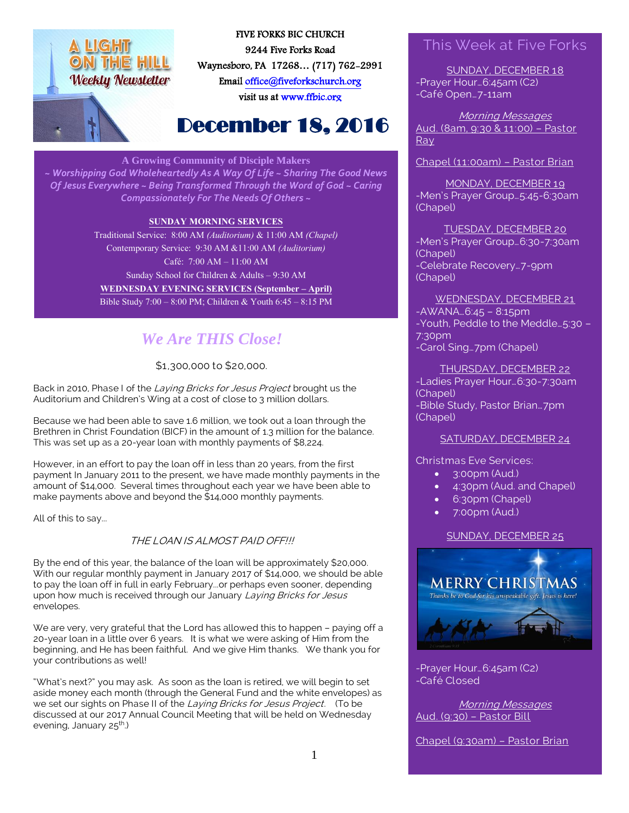



FIVE FORKS BIC CHURCH 9244 Five Forks Road Waynesboro, PA 17268… (717) 762-2991 Emai[l office@fiveforkschurch.org](mailto:office@fiveforkschurch.org)  visit us a[t www.ffbic.org](http://www.ffbic.org/) 

# December 18, 2016

#### **A Growing Community of Disciple Makers**

*~ Worshipping God Wholeheartedly As A Way Of Life ~ Sharing The Good News Of Jesus Everywhere ~ Being Transformed Through the Word of God ~ Caring Compassionately For The Needs Of Others ~*

#### **SUNDAY MORNING SERVICES**

Traditional Service: 8:00 AM *(Auditorium)* & 11:00 AM *(Chapel)* Contemporary Service: 9:30 AM &11:00 AM *(Auditorium)* Café: 7:00 AM – 11:00 AM Sunday School for Children & Adults – 9:30 AM **WEDNESDAY EVENING SERVICES (September – April)** Bible Study 7:00 – 8:00 PM; Children & Youth 6:45 – 8:15 PM

## *We Are THIS Close!*

\$1,300,000 to \$20,000.

Back in 2010, Phase I of the Laying Bricks for Jesus Project brought us the Auditorium and Children's Wing at a cost of close to 3 million dollars.

Because we had been able to save 1.6 million, we took out a loan through the Brethren in Christ Foundation (BICF) in the amount of 1.3 million for the balance. This was set up as a 20-year loan with monthly payments of \$8,224.

However, in an effort to pay the loan off in less than 20 years, from the first payment In January 2011 to the present, we have made monthly payments in the amount of \$14,000. Several times throughout each year we have been able to make payments above and beyond the \$14,000 monthly payments.

All of this to say...

#### THE LOAN IS ALMOST PAID OFF!!!

By the end of this year, the balance of the loan will be approximately \$20,000. With our regular monthly payment in January 2017 of \$14,000, we should be able to pay the loan off in full in early February...or perhaps even sooner, depending upon how much is received through our January Laying Bricks for Jesus envelopes.

We are very, very grateful that the Lord has allowed this to happen - paying off a 20-year loan in a little over 6 years. It is what we were asking of Him from the beginning, and He has been faithful. And we give Him thanks. We thank you for your contributions as well!

"What's next?" you may ask. As soon as the loan is retired, we will begin to set aside money each month (through the General Fund and the white envelopes) as we set our sights on Phase II of the Laying Bricks for Jesus Project. (To be discussed at our 2017 Annual Council Meeting that will be held on Wednesday evening, January 25<sup>th</sup>.)

### This Week at Five Forks

SUNDAY, DECEMBER 18 -Prayer Hour…6:45am (C2) -Café Open…7-11am

Morning Messages Aud. (8am, 9:30 & 11:00) – Pastor **Ray** 

Chapel (11:00am) – Pastor Brian

MONDAY, DECEMBER 19 -Men's Prayer Group…5:45-6:30am (Chapel)

TUESDAY, DECEMBER 20 -Men's Prayer Group…6:30-7:30am (Chapel) -Celebrate Recovery…7-9pm (Chapel)

WEDNESDAY, DECEMBER 21  $-AWANA...6:45 - 8:15pm$ -Youth, Peddle to the Meddle…5:30 – 7:30pm -Carol Sing…7pm (Chapel)

THURSDAY, DECEMBER 22 -Ladies Prayer Hour…6:30-7:30am (Chapel) -Bible Study, Pastor Brian…7pm (Chapel)

#### SATURDAY, DECEMBER 24

Christmas Eve Services:

- 3:00pm (Aud.)
- 4:30pm (Aud. and Chapel)
- 6:30pm (Chapel)
- 7:00pm (Aud.)

#### SUNDAY, DECEMBER 25



-Prayer Hour…6:45am (C2) -Café Closed

Morning Messages Aud. (9:30) – Pastor Bill

Chapel (9:30am) – Pastor Brian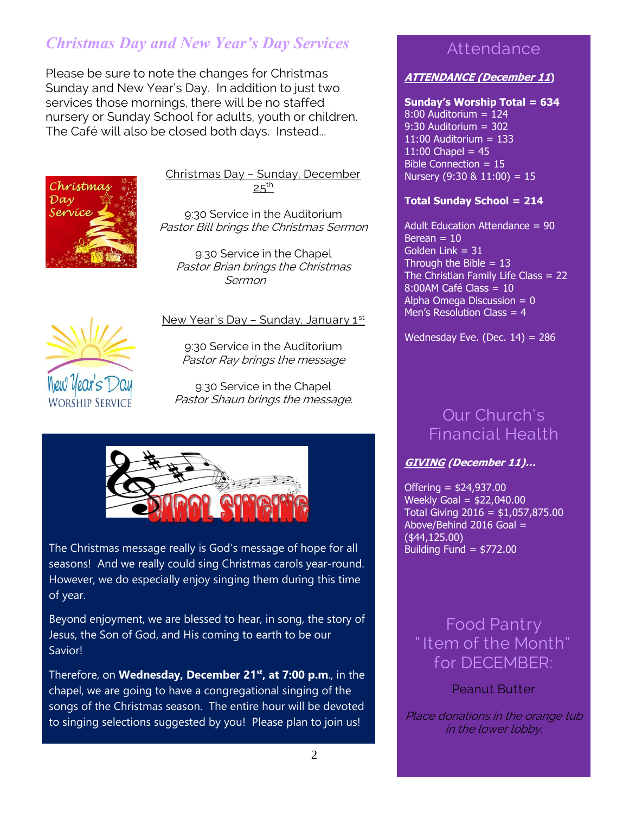## *Christmas Day and New Year's Day Services*

Please be sure to note the changes for Christmas Sunday and New Year's Day. In addition to just two services those mornings, there will be no staffed nursery or Sunday School for adults, youth or children. The Café will also be closed both days. Instead...



Christmas Day – Sunday, December  $25<sup>th</sup>$ 

9:30 Service in the Auditorium Pastor Bill brings the Christmas Sermon

9:30 Service in the Chapel Pastor Brian brings the Christmas Sermon



### New Year's Day - Sunday, January 1st

9:30 Service in the Auditorium Pastor Ray brings the message

9:30 Service in the Chapel Pastor Shaun brings the message.



The Christmas message really is God's message of hope for all seasons! And we really could sing Christmas carols year-round. However, we do especially enjoy singing them during this time of year.

Beyond enjoyment, we are blessed to hear, in song, the story of Jesus, the Son of God, and His coming to earth to be our Savior!

Therefore, on **Wednesday, December 21st, at 7:00 p.m**., in the chapel, we are going to have a congregational singing of the songs of the Christmas season. The entire hour will be devoted to singing selections suggested by you! Please plan to join us!

### Attendance

### **ATTENDANCE (December 11)**

#### **Sunday's Worship Total = 634**

 $8:00$  Auditorium = 124 9:30 Auditorium = 302 11:00 Auditorium  $= 133$ 11:00 Chapel =  $45$ Bible Connection = 15 Nursery  $(9:30 \& 11:00) = 15$ 

#### **Total Sunday School = 214**

Adult Education Attendance = 90 Berean  $= 10$ Golden Link  $= 31$ Through the Bible  $= 13$ The Christian Family Life Class = 22 8:00AM Café Class = 10 Alpha Omega Discussion  $= 0$ Men's Resolution Class  $= 4$ 

Wednesday Eve. (Dec.  $14$ ) = 286

## Our Church's Financial Health

### **GIVING (December 11)…**

Offering = \$24,937.00 Weekly Goal = \$22,040.00 Total Giving 2016 = \$1,057,875.00 Above/Behind 2016 Goal = (\$44,125.00) Building Fund  $=$  \$772.00

### Food Pantry " Item of the Month" for DECEMBER:

Peanut Butter

Place donations in the orange tub in the lower lobby.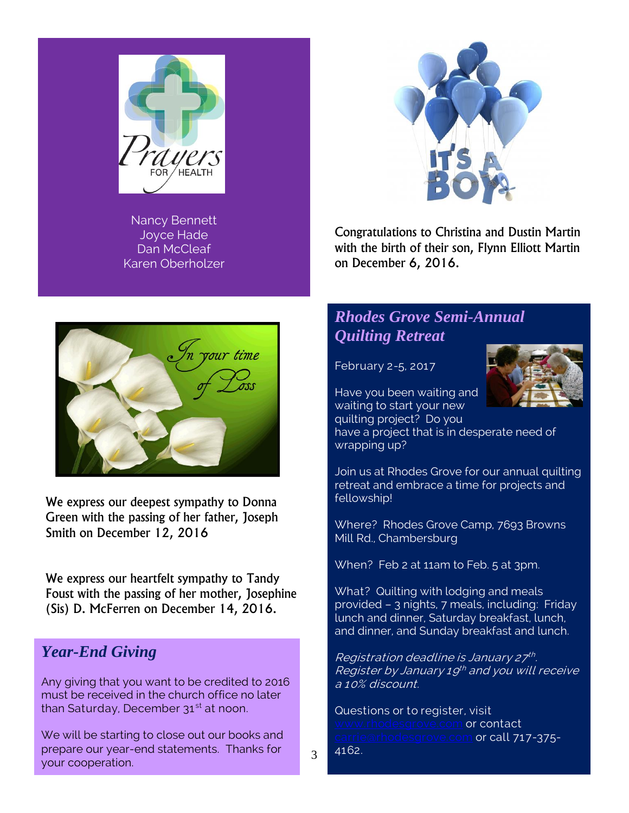

Nancy Bennett Joyce Hade Dan McCleaf Karen Oberholzer



Congratulations to Christina and Dustin Martin with the birth of their son, Flynn Elliott Martin on December 6, 2016.

## *Rhodes Grove Semi-Annual Quilting Retreat*





Have you been waiting and waiting to start your new

quilting project? Do you have a project that is in desperate need of wrapping up?

Join us at Rhodes Grove for our annual quilting retreat and embrace a time for projects and fellowship!

Where? Rhodes Grove Camp, 7693 Browns Mill Rd., Chambersburg

When? Feb 2 at 11am to Feb. 5 at 3pm.

What? Quilting with lodging and meals provided – 3 nights, 7 meals, including: Friday lunch and dinner, Saturday breakfast, lunch, and dinner, and Sunday breakfast and lunch.

Registration deadline is January 27th. Register by January 19<sup>th</sup> and you will receive a 10% discount.

Questions or to register, visit grove.com **or contact** <u>rie@rhodesgrove.com</u> or call 717-375-4162.

We express our deepest sympathy to Donna Green with the passing of her father, Joseph Smith on December 12, 2016

We express our heartfelt sympathy to Tandy Foust with the passing of her mother, Josephine (Sis) D. McFerren on December 14, 2016.

### *Year-End Giving*

Any giving that you want to be credited to 2016 must be received in the church office no later than Saturday, December  $31<sup>st</sup>$  at noon.

We will be starting to close out our books and prepare our year-end statements. Thanks for your cooperation.

3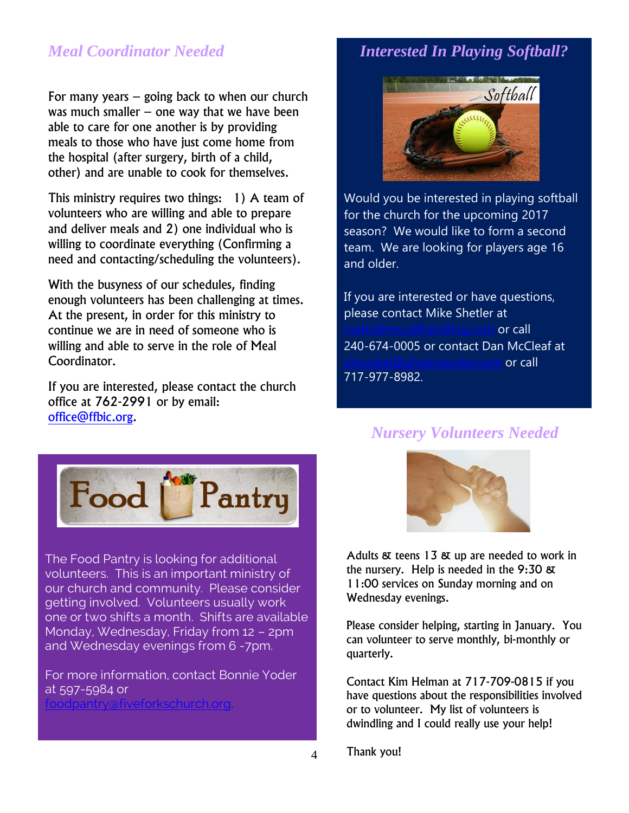### *Meal Coordinator Needed*

For many years – going back to when our church was much smaller  $-$  one way that we have been able to care for one another is by providing meals to those who have just come home from the hospital (after surgery, birth of a child, other) and are unable to cook for themselves.

This ministry requires two things: 1) A team of volunteers who are willing and able to prepare and deliver meals and 2) one individual who is willing to coordinate everything (Confirming a need and contacting/scheduling the volunteers).

With the busyness of our schedules, finding enough volunteers has been challenging at times. At the present, in order for this ministry to continue we are in need of someone who is willing and able to serve in the role of Meal Coordinator.

If you are interested, please contact the church office at 762-2991 or by email: [office@ffbic.org.](mailto:office@ffbic.org)

### *Interested In Playing Softball?*



Would you be interested in playing softball for the church for the upcoming 2017 season? We would like to form a second team. We are looking for players age 16 and older.

If you are interested or have questions, please contact Mike Shetler at @mccallhandling.com or call 240-674-0005 or contact Dan McCleaf at noenixcolor.com **or call** 717-977-8982.

### *Nursery Volunteers Needed*



The Food Pantry is looking for additional volunteers. This is an important ministry of our church and community. Please consider getting involved. Volunteers usually work one or two shifts a month. Shifts are available Monday, Wednesday, Friday from 12 – 2pm and Wednesday evenings from 6 -7pm.

For more information, contact Bonnie Yoder at 597-5984 or [foodpantry@fiveforkschurch.org.](mailto:foodpantry@fiveforkschurch.org)



Adults & teens 13 & up are needed to work in the nursery. Help is needed in the 9:30 & 11:00 services on Sunday morning and on Wednesday evenings.

Please consider helping, starting in January. You can volunteer to serve monthly, bi-monthly or quarterly.

Contact Kim Helman at 717-709-0815 if you have questions about the responsibilities involved or to volunteer. My list of volunteers is dwindling and I could really use your help!

Thank you!

4